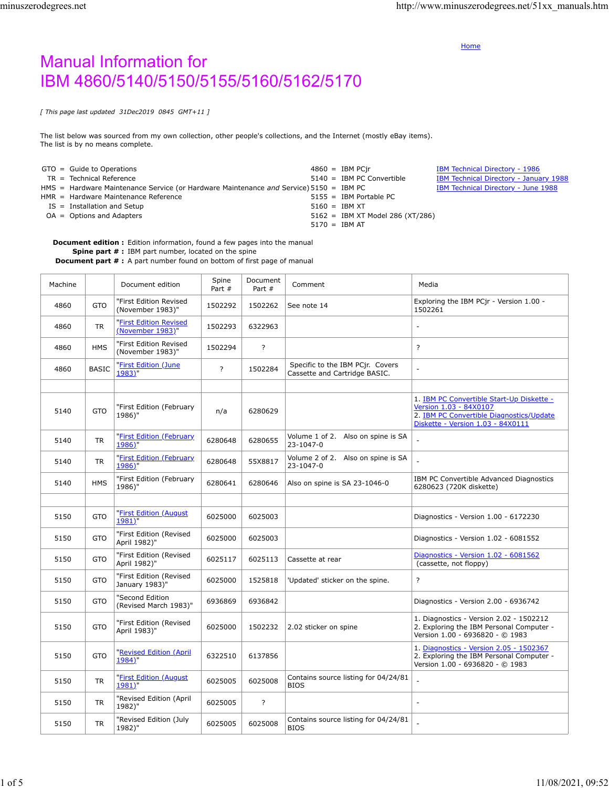**[Home](http://www.minuszerodegrees.net/index.htm)** 

## Manual Information for IBM 4860/5140/5150/5155/5160/5162/5170

*[ This page last updated 31Dec2019 0845 GMT+11 ]*

The list below was sourced from my own collection, other people's collections, and the Internet (mostly eBay items). The list is by no means complete.

|  | $GTO = Guide to Operations$                                                            |                 | $4860 =$ IBM PCir                  | <b>IBM Technical Directory - 1986</b>  |
|--|----------------------------------------------------------------------------------------|-----------------|------------------------------------|----------------------------------------|
|  | TR = Technical Reference                                                               |                 | $5140 =$ IBM PC Convertible        | IBM Technical Directory - January 1988 |
|  | HMS = Hardware Maintenance Service (or Hardware Maintenance and Service) 5150 = IBM PC |                 |                                    | IBM Technical Directory - June 1988    |
|  | HMR = Hardware Maintenance Reference                                                   |                 | $5155 =$ IBM Portable PC           |                                        |
|  | IS = Installation and Setup                                                            | $5160 =$ IBM XT |                                    |                                        |
|  | $OA = Options$ and Adapters                                                            |                 | $5162 =$ IBM XT Model 286 (XT/286) |                                        |
|  |                                                                                        | $5170 =$ IBM AT |                                    |                                        |

**Document edition :** Edition information, found a few pages into the manual

**Spine part # :** IBM part number, located on the spine **Document part # :** A part number found on bottom of first page of manual

| Machine |              | Document edition                           | Spine<br>Part # | Document<br>Part # | Comment                                                           | Media                                                                                                                                                |
|---------|--------------|--------------------------------------------|-----------------|--------------------|-------------------------------------------------------------------|------------------------------------------------------------------------------------------------------------------------------------------------------|
| 4860    | <b>GTO</b>   | "First Edition Revised<br>(November 1983)" | 1502292         | 1502262            | See note 14                                                       | Exploring the IBM PCjr - Version 1.00 -<br>1502261                                                                                                   |
| 4860    | <b>TR</b>    | "First Edition Revised<br>(November 1983)" | 1502293         | 6322963            |                                                                   |                                                                                                                                                      |
| 4860    | <b>HMS</b>   | "First Edition Revised<br>(November 1983)" | 1502294         | $\overline{?}$     |                                                                   | $\overline{?}$                                                                                                                                       |
| 4860    | <b>BASIC</b> | "First Edition (June<br>1983)"             | $\overline{?}$  | 1502284            | Specific to the IBM PCjr. Covers<br>Cassette and Cartridge BASIC. |                                                                                                                                                      |
|         |              |                                            |                 |                    |                                                                   |                                                                                                                                                      |
| 5140    | GTO          | "First Edition (February<br>1986)"         | n/a             | 6280629            |                                                                   | 1. IBM PC Convertible Start-Up Diskette -<br>Version 1.03 - 84X0107<br>2. IBM PC Convertible Diagnostics/Update<br>Diskette - Version 1.03 - 84X0111 |
| 5140    | <b>TR</b>    | "First Edition (February<br>1986)"         | 6280648         | 6280655            | Volume 1 of 2. Also on spine is SA<br>23-1047-0                   |                                                                                                                                                      |
| 5140    | <b>TR</b>    | "First Edition (February<br>1986)"         | 6280648         | 55X8817            | Volume 2 of 2. Also on spine is SA<br>23-1047-0                   |                                                                                                                                                      |
| 5140    | <b>HMS</b>   | "First Edition (February<br>1986)"         | 6280641         | 6280646            | Also on spine is SA 23-1046-0                                     | IBM PC Convertible Advanced Diagnostics<br>6280623 (720K diskette)                                                                                   |
|         |              |                                            |                 |                    |                                                                   |                                                                                                                                                      |
| 5150    | <b>GTO</b>   | "First Edition (August<br>1981)"           | 6025000         | 6025003            |                                                                   | Diagnostics - Version 1.00 - 6172230                                                                                                                 |
| 5150    | <b>GTO</b>   | "First Edition (Revised<br>April 1982)"    | 6025000         | 6025003            |                                                                   | Diagnostics - Version 1.02 - 6081552                                                                                                                 |
| 5150    | <b>GTO</b>   | "First Edition (Revised<br>April 1982)"    | 6025117         | 6025113            | Cassette at rear                                                  | Diagnostics - Version 1.02 - 6081562<br>(cassette, not floppy)                                                                                       |
| 5150    | GTO          | "First Edition (Revised<br>January 1983)"  | 6025000         | 1525818            | 'Updated' sticker on the spine.                                   | ?                                                                                                                                                    |
| 5150    | <b>GTO</b>   | "Second Edition<br>(Revised March 1983)"   | 6936869         | 6936842            |                                                                   | Diagnostics - Version 2.00 - 6936742                                                                                                                 |
| 5150    | <b>GTO</b>   | "First Edition (Revised<br>April 1983)"    | 6025000         | 1502232            | 2.02 sticker on spine                                             | 1. Diagnostics - Version 2.02 - 1502212<br>2. Exploring the IBM Personal Computer -<br>Version 1.00 - 6936820 - © 1983                               |
| 5150    | <b>GTO</b>   | "Revised Edition (April<br>1984)"          | 6322510         | 6137856            |                                                                   | 1. Diagnostics - Version 2.05 - 1502367<br>2. Exploring the IBM Personal Computer -<br>Version 1.00 - 6936820 - © 1983                               |
| 5150    | <b>TR</b>    | "First Edition (August<br>1981)"           | 6025005         | 6025008            | Contains source listing for 04/24/81<br><b>BIOS</b>               |                                                                                                                                                      |
| 5150    | <b>TR</b>    | "Revised Edition (April<br>1982)"          | 6025005         | ?                  |                                                                   | $\sim$                                                                                                                                               |
| 5150    | <b>TR</b>    | "Revised Edition (July<br>1982)"           | 6025005         | 6025008            | Contains source listing for 04/24/81<br><b>BIOS</b>               |                                                                                                                                                      |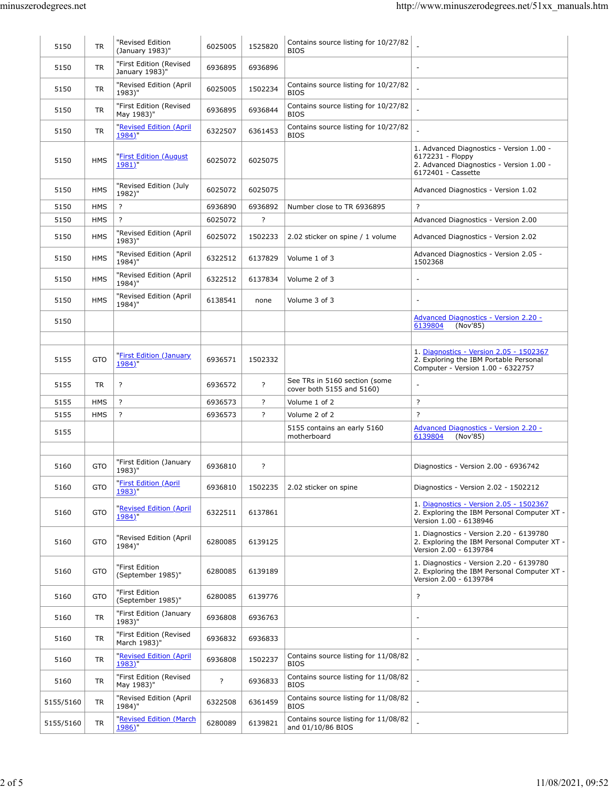| 5150      | <b>TR</b>  | "Revised Edition<br>(January 1983)"       | 6025005 | 1525820            | Contains source listing for 10/27/82<br><b>BIOS</b>        |                                                                                                                                |
|-----------|------------|-------------------------------------------|---------|--------------------|------------------------------------------------------------|--------------------------------------------------------------------------------------------------------------------------------|
| 5150      | <b>TR</b>  | "First Edition (Revised<br>January 1983)" | 6936895 | 6936896            |                                                            |                                                                                                                                |
| 5150      | <b>TR</b>  | "Revised Edition (April<br>1983)"         | 6025005 | 1502234            | Contains source listing for 10/27/82<br><b>BIOS</b>        |                                                                                                                                |
| 5150      | <b>TR</b>  | "First Edition (Revised<br>May 1983)"     | 6936895 | 6936844            | Contains source listing for 10/27/82<br><b>BIOS</b>        |                                                                                                                                |
| 5150      | <b>TR</b>  | "Revised Edition (April<br>1984)"         | 6322507 | 6361453            | Contains source listing for 10/27/82<br><b>BIOS</b>        |                                                                                                                                |
| 5150      | <b>HMS</b> | "First Edition (August<br>1981)"          | 6025072 | 6025075            |                                                            | 1. Advanced Diagnostics - Version 1.00 -<br>6172231 - Floppy<br>2. Advanced Diagnostics - Version 1.00 -<br>6172401 - Cassette |
| 5150      | <b>HMS</b> | "Revised Edition (July<br>1982)"          | 6025072 | 6025075            |                                                            | Advanced Diagnostics - Version 1.02                                                                                            |
| 5150      | <b>HMS</b> | ?                                         | 6936890 | 6936892            | Number close to TR 6936895                                 | $\overline{?}$                                                                                                                 |
| 5150      | <b>HMS</b> | ?                                         | 6025072 | $\overline{\cdot}$ |                                                            | Advanced Diagnostics - Version 2.00                                                                                            |
| 5150      | <b>HMS</b> | "Revised Edition (April<br>1983)"         | 6025072 | 1502233            | 2.02 sticker on spine / 1 volume                           | Advanced Diagnostics - Version 2.02                                                                                            |
| 5150      | <b>HMS</b> | "Revised Edition (April<br>1984)"         | 6322512 | 6137829            | Volume 1 of 3                                              | Advanced Diagnostics - Version 2.05 -<br>1502368                                                                               |
| 5150      | <b>HMS</b> | "Revised Edition (April<br>1984)"         | 6322512 | 6137834            | Volume 2 of 3                                              | $\overline{\phantom{a}}$                                                                                                       |
| 5150      | <b>HMS</b> | "Revised Edition (April<br>1984)"         | 6138541 | none               | Volume 3 of 3                                              |                                                                                                                                |
| 5150      |            |                                           |         |                    |                                                            | <b>Advanced Diagnostics - Version 2.20 -</b><br>6139804<br>(Nov'85)                                                            |
|           |            |                                           |         |                    |                                                            |                                                                                                                                |
| 5155      | <b>GTO</b> | "First Edition (January<br>1984)"         | 6936571 | 1502332            |                                                            | 1. Diagnostics - Version 2.05 - 1502367<br>2. Exploring the IBM Portable Personal<br>Computer - Version 1.00 - 6322757         |
| 5155      | <b>TR</b>  | ?                                         | 6936572 | ?                  | See TRs in 5160 section (some<br>cover both 5155 and 5160) | $\overline{\phantom{a}}$                                                                                                       |
| 5155      | <b>HMS</b> | $\overline{\cdot}$                        | 6936573 | ?                  | Volume 1 of 2                                              | $\overline{?}$                                                                                                                 |
| 5155      | <b>HMS</b> | ?                                         | 6936573 | ?                  | Volume 2 of 2                                              | $\overline{?}$                                                                                                                 |
| 5155      |            |                                           |         |                    | 5155 contains an early 5160<br>motherboard                 | Advanced Diagnostics - Version 2.20 -<br>6139804<br>(Nov'85)                                                                   |
| 5160      | <b>GTO</b> | "First Edition (January<br>1983)"         | 6936810 | $\overline{?}$     |                                                            | Diagnostics - Version 2.00 - 6936742                                                                                           |
| 5160      | <b>GTO</b> | "First Edition (April<br>1983)"           | 6936810 | 1502235            | 2.02 sticker on spine                                      | Diagnostics - Version 2.02 - 1502212                                                                                           |
| 5160      | <b>GTO</b> | "Revised Edition (April<br>1984)"         | 6322511 | 6137861            |                                                            | 1. Diagnostics - Version 2.05 - 1502367<br>2. Exploring the IBM Personal Computer XT -<br>Version 1.00 - 6138946               |
| 5160      | <b>GTO</b> | "Revised Edition (April<br>1984)"         | 6280085 | 6139125            |                                                            | 1. Diagnostics - Version 2.20 - 6139780<br>2. Exploring the IBM Personal Computer XT -<br>Version 2.00 - 6139784               |
| 5160      | <b>GTO</b> | "First Edition<br>(September 1985)"       | 6280085 | 6139189            |                                                            | 1. Diagnostics - Version 2.20 - 6139780<br>2. Exploring the IBM Personal Computer XT -<br>Version 2.00 - 6139784               |
| 5160      | <b>GTO</b> | "First Edition<br>(September 1985)"       | 6280085 | 6139776            |                                                            | $\overline{?}$                                                                                                                 |
| 5160      | <b>TR</b>  | "First Edition (January<br>1983)"         | 6936808 | 6936763            |                                                            | $\overline{\phantom{a}}$                                                                                                       |
| 5160      | <b>TR</b>  | "First Edition (Revised<br>March 1983)"   | 6936832 | 6936833            |                                                            | $\overline{\phantom{a}}$                                                                                                       |
| 5160      | <b>TR</b>  | "Revised Edition (April<br>1983)"         | 6936808 | 1502237            | Contains source listing for 11/08/82<br><b>BIOS</b>        |                                                                                                                                |
| 5160      | TR         | "First Edition (Revised<br>May 1983)"     | ?       | 6936833            | Contains source listing for 11/08/82<br><b>BIOS</b>        | $\overline{\phantom{a}}$                                                                                                       |
| 5155/5160 | TR.        | "Revised Edition (April<br>1984)"         | 6322508 | 6361459            | Contains source listing for 11/08/82<br><b>BIOS</b>        | $\sim$                                                                                                                         |
| 5155/5160 | TR         | "Revised Edition (March<br>1986)"         | 6280089 | 6139821            | Contains source listing for 11/08/82<br>and 01/10/86 BIOS  |                                                                                                                                |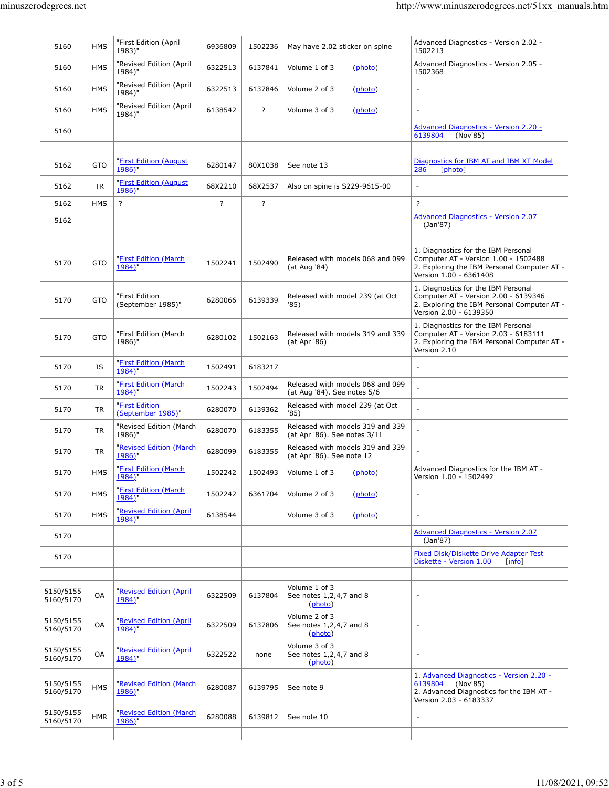| 5160                   | <b>HMS</b> | "First Edition (April<br>1983)"     | 6936809 | 1502236        | May have 2.02 sticker on spine                                   | Advanced Diagnostics - Version 2.02 -<br>1502213                                                                                                     |
|------------------------|------------|-------------------------------------|---------|----------------|------------------------------------------------------------------|------------------------------------------------------------------------------------------------------------------------------------------------------|
| 5160                   | <b>HMS</b> | "Revised Edition (April<br>1984)"   | 6322513 | 6137841        | Volume 1 of 3<br>(photo)                                         | Advanced Diagnostics - Version 2.05 -<br>1502368                                                                                                     |
| 5160                   | <b>HMS</b> | "Revised Edition (April<br>1984)"   | 6322513 | 6137846        | Volume 2 of 3<br>(photo)                                         | $\overline{\phantom{a}}$                                                                                                                             |
| 5160                   | <b>HMS</b> | "Revised Edition (April<br>1984)"   | 6138542 | $\overline{?}$ | Volume 3 of 3<br>(photo)                                         | $\overline{\phantom{a}}$                                                                                                                             |
| 5160                   |            |                                     |         |                |                                                                  | <b>Advanced Diagnostics - Version 2.20 -</b><br>6139804<br>(Nov'85)                                                                                  |
|                        |            |                                     |         |                |                                                                  |                                                                                                                                                      |
| 5162                   | <b>GTO</b> | "First Edition (August<br>1986)"    | 6280147 | 80X1038        | See note 13                                                      | Diagnostics for IBM AT and IBM XT Model<br>286<br>[photo]                                                                                            |
| 5162                   | <b>TR</b>  | "First Edition (August<br>1986)"    | 68X2210 | 68X2537        | Also on spine is S229-9615-00                                    | $\overline{\phantom{a}}$                                                                                                                             |
| 5162                   | <b>HMS</b> | ?                                   | ?       | ?              |                                                                  | $\overline{?}$                                                                                                                                       |
| 5162                   |            |                                     |         |                |                                                                  | <b>Advanced Diagnostics - Version 2.07</b><br>(Jan 87)                                                                                               |
|                        |            |                                     |         |                |                                                                  |                                                                                                                                                      |
| 5170                   | <b>GTO</b> | "First Edition (March<br>1984)"     | 1502241 | 1502490        | Released with models 068 and 099<br>(at Aug '84)                 | 1. Diagnostics for the IBM Personal<br>Computer AT - Version 1.00 - 1502488<br>2. Exploring the IBM Personal Computer AT -<br>Version 1.00 - 6361408 |
| 5170                   | <b>GTO</b> | "First Edition<br>(September 1985)" | 6280066 | 6139339        | Released with model 239 (at Oct<br>'85)                          | 1. Diagnostics for the IBM Personal<br>Computer AT - Version 2.00 - 6139346<br>2. Exploring the IBM Personal Computer AT -<br>Version 2.00 - 6139350 |
| 5170                   | <b>GTO</b> | "First Edition (March<br>1986)"     | 6280102 | 1502163        | Released with models 319 and 339<br>(at Apr '86)                 | 1. Diagnostics for the IBM Personal<br>Computer AT - Version 2.03 - 6183111<br>2. Exploring the IBM Personal Computer AT -<br>Version 2.10           |
| 5170                   | IS         | "First Edition (March<br>1984)"     | 1502491 | 6183217        |                                                                  | $\sim$                                                                                                                                               |
| 5170                   | <b>TR</b>  | "First Edition (March<br>1984)"     | 1502243 | 1502494        | Released with models 068 and 099<br>(at Aug '84). See notes 5/6  | $\overline{a}$                                                                                                                                       |
| 5170                   | <b>TR</b>  | "First Edition<br>(September 1985)" | 6280070 | 6139362        | Released with model 239 (at Oct<br>'85)                          |                                                                                                                                                      |
| 5170                   | <b>TR</b>  | "Revised Edition (March<br>1986)"   | 6280070 | 6183355        | Released with models 319 and 339<br>(at Apr '86). See notes 3/11 | $\overline{a}$                                                                                                                                       |
| 5170                   | <b>TR</b>  | "Revised Edition (March<br>1986)"   | 6280099 | 6183355        | Released with models 319 and 339<br>(at Apr '86). See note 12    | $\overline{a}$                                                                                                                                       |
| 5170                   | <b>HMS</b> | "First Edition (March<br>1984)"     | 1502242 | 1502493        | Volume 1 of 3<br>(photo)                                         | Advanced Diagnostics for the IBM AT -<br>Version 1.00 - 1502492                                                                                      |
| 5170                   | <b>HMS</b> | "First Edition (March<br>1984)"     | 1502242 | 6361704        | Volume 2 of 3<br>(photo)                                         | $\overline{a}$                                                                                                                                       |
| 5170                   | <b>HMS</b> | "Revised Edition (April<br>1984)"   | 6138544 |                | Volume 3 of 3<br>(photo)                                         | $\overline{\phantom{a}}$                                                                                                                             |
| 5170                   |            |                                     |         |                |                                                                  | <b>Advanced Diagnostics - Version 2.07</b><br>(Jan'87)                                                                                               |
| 5170                   |            |                                     |         |                |                                                                  | Fixed Disk/Diskette Drive Adapter Test<br>Diskette - Version 1.00<br>[info]                                                                          |
| 5150/5155<br>5160/5170 | OA         | "Revised Edition (April<br>1984)"   | 6322509 | 6137804        | Volume 1 of 3<br>See notes 1,2,4,7 and 8<br>(photo)              | $\overline{a}$                                                                                                                                       |
| 5150/5155<br>5160/5170 | OA         | "Revised Edition (April<br>1984)"   | 6322509 | 6137806        | Volume 2 of 3<br>See notes 1,2,4,7 and 8<br>(photo)              | $\overline{\phantom{a}}$                                                                                                                             |
| 5150/5155<br>5160/5170 | OA         | "Revised Edition (April<br>1984)"   | 6322522 | none           | Volume 3 of 3<br>See notes 1,2,4,7 and 8<br>(photo)              | $\overline{\phantom{a}}$                                                                                                                             |
| 5150/5155<br>5160/5170 | <b>HMS</b> | "Revised Edition (March<br>1986)"   | 6280087 | 6139795        | See note 9                                                       | 1. Advanced Diagnostics - Version 2.20 -<br>6139804<br>(Nov'85)<br>2. Advanced Diagnostics for the IBM AT -<br>Version 2.03 - 6183337                |
| 5150/5155<br>5160/5170 | <b>HMR</b> | "Revised Edition (March<br>1986)"   | 6280088 | 6139812        | See note 10                                                      | $\overline{a}$                                                                                                                                       |
|                        |            |                                     |         |                |                                                                  |                                                                                                                                                      |